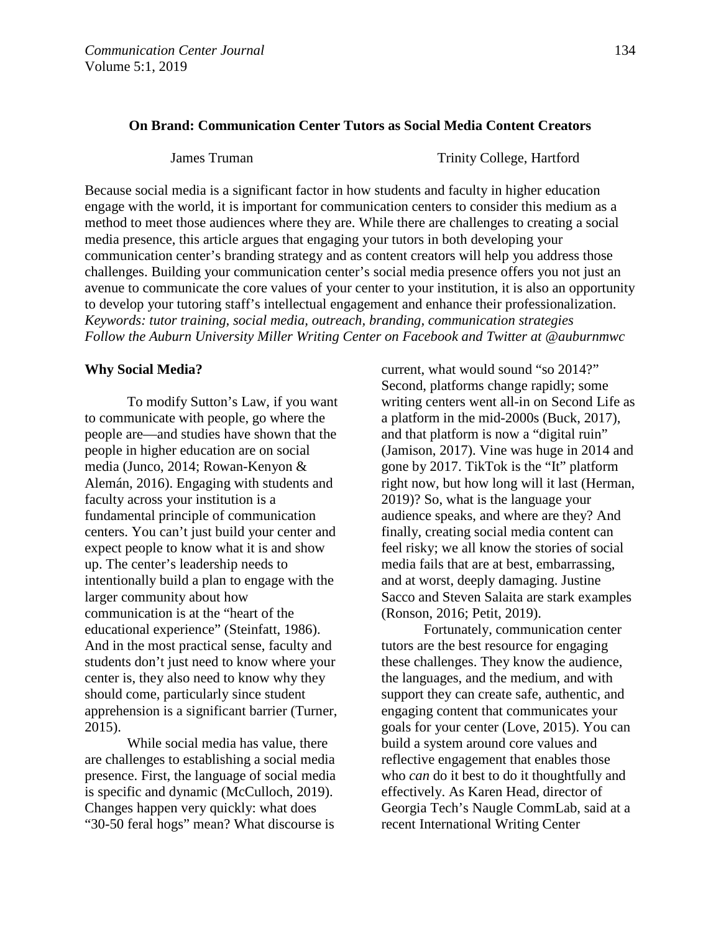# **On Brand: Communication Center Tutors as Social Media Content Creators**

James Truman Trinity College, Hartford

Because social media is a significant factor in how students and faculty in higher education engage with the world, it is important for communication centers to consider this medium as a method to meet those audiences where they are. While there are challenges to creating a social media presence, this article argues that engaging your tutors in both developing your communication center's branding strategy and as content creators will help you address those challenges. Building your communication center's social media presence offers you not just an avenue to communicate the core values of your center to your institution, it is also an opportunity to develop your tutoring staff's intellectual engagement and enhance their professionalization. *Keywords: tutor training, social media, outreach, branding, communication strategies Follow the Auburn University Miller Writing Center on Facebook and Twitter at @auburnmwc*

#### **Why Social Media?**

To modify Sutton's Law, if you want to communicate with people, go where the people are—and studies have shown that the people in higher education are on social media (Junco, 2014; Rowan-Kenyon & Alemán, 2016). Engaging with students and faculty across your institution is a fundamental principle of communication centers. You can't just build your center and expect people to know what it is and show up. The center's leadership needs to intentionally build a plan to engage with the larger community about how communication is at the "heart of the educational experience" (Steinfatt, 1986). And in the most practical sense, faculty and students don't just need to know where your center is, they also need to know why they should come, particularly since student apprehension is a significant barrier (Turner, 2015).

While social media has value, there are challenges to establishing a social media presence. First, the language of social media is specific and dynamic (McCulloch, 2019). Changes happen very quickly: what does "30-50 feral hogs" mean? What discourse is

current, what would sound "so 2014?" Second, platforms change rapidly; some writing centers went all-in on Second Life as a platform in the mid-2000s (Buck, 2017), and that platform is now a "digital ruin" (Jamison, 2017). Vine was huge in 2014 and gone by 2017. TikTok is the "It" platform right now, but how long will it last (Herman, 2019)? So, what is the language your audience speaks, and where are they? And finally, creating social media content can feel risky; we all know the stories of social media fails that are at best, embarrassing, and at worst, deeply damaging. Justine Sacco and Steven Salaita are stark examples (Ronson, 2016; Petit, 2019).

Fortunately, communication center tutors are the best resource for engaging these challenges. They know the audience, the languages, and the medium, and with support they can create safe, authentic, and engaging content that communicates your goals for your center (Love, 2015). You can build a system around core values and reflective engagement that enables those who *can* do it best to do it thoughtfully and effectively. As Karen Head, director of Georgia Tech's Naugle CommLab, said at a recent International Writing Center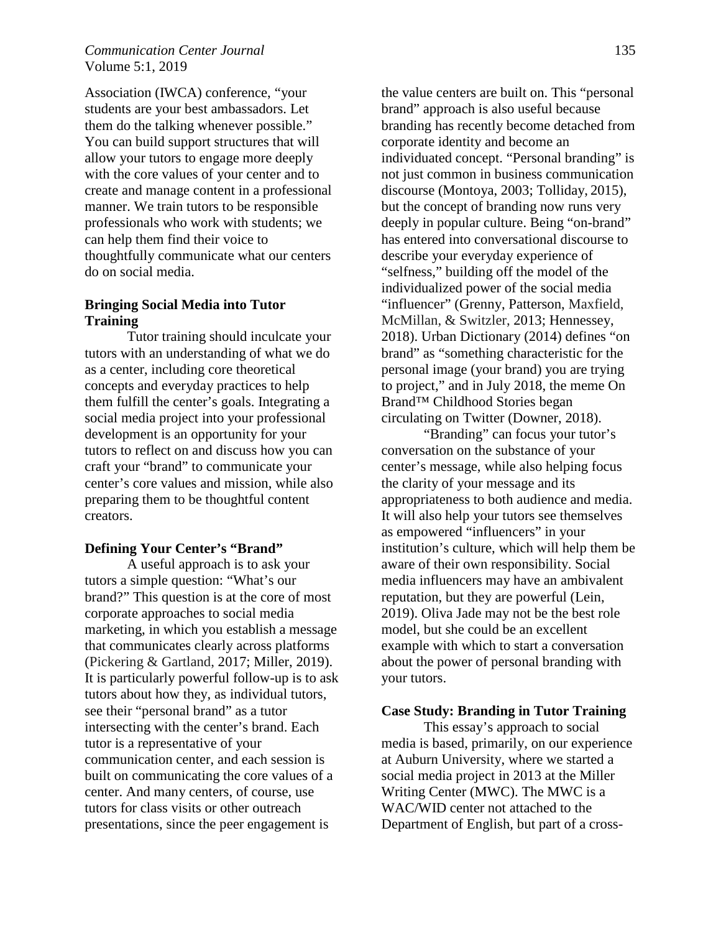# *Communication Center Journal* 135 Volume 5:1, 2019

Association (IWCA) conference, "your students are your best ambassadors. Let them do the talking whenever possible." You can build support structures that will allow your tutors to engage more deeply with the core values of your center and to create and manage content in a professional manner. We train tutors to be responsible professionals who work with students; we can help them find their voice to thoughtfully communicate what our centers do on social media.

### **Bringing Social Media into Tutor Training**

Tutor training should inculcate your tutors with an understanding of what we do as a center, including core theoretical concepts and everyday practices to help them fulfill the center's goals. Integrating a social media project into your professional development is an opportunity for your tutors to reflect on and discuss how you can craft your "brand" to communicate your center's core values and mission, while also preparing them to be thoughtful content creators.

#### **Defining Your Center's "Brand"**

A useful approach is to ask your tutors a simple question: "What's our brand?" This question is at the core of most corporate approaches to social media marketing, in which you establish a message that communicates clearly across platforms (Pickering & Gartland, 2017; Miller, 2019). It is particularly powerful follow-up is to ask tutors about how they, as individual tutors, see their "personal brand" as a tutor intersecting with the center's brand. Each tutor is a representative of your communication center, and each session is built on communicating the core values of a center. And many centers, of course, use tutors for class visits or other outreach presentations, since the peer engagement is

the value centers are built on. This "personal brand" approach is also useful because branding has recently become detached from corporate identity and become an individuated concept. "Personal branding" is not just common in business communication discourse (Montoya, 2003; Tolliday, 2015), but the concept of branding now runs very deeply in popular culture. Being "on-brand" has entered into conversational discourse to describe your everyday experience of "selfness," building off the model of the individualized power of the social media "influencer" (Grenny, Patterson, Maxfield, McMillan, & Switzler, 2013; Hennessey, 2018). Urban Dictionary (2014) defines "on brand" as "something characteristic for the personal image (your brand) you are trying to project," and in July 2018, the meme On Brand™ Childhood Stories began circulating on Twitter (Downer, 2018).

"Branding" can focus your tutor's conversation on the substance of your center's message, while also helping focus the clarity of your message and its appropriateness to both audience and media. It will also help your tutors see themselves as empowered "influencers" in your institution's culture, which will help them be aware of their own responsibility. Social media influencers may have an ambivalent reputation, but they are powerful (Lein, 2019). Oliva Jade may not be the best role model, but she could be an excellent example with which to start a conversation about the power of personal branding with your tutors.

#### **Case Study: Branding in Tutor Training**

This essay's approach to social media is based, primarily, on our experience at Auburn University, where we started a social media project in 2013 at the Miller Writing Center (MWC). The MWC is a WAC/WID center not attached to the Department of English, but part of a cross-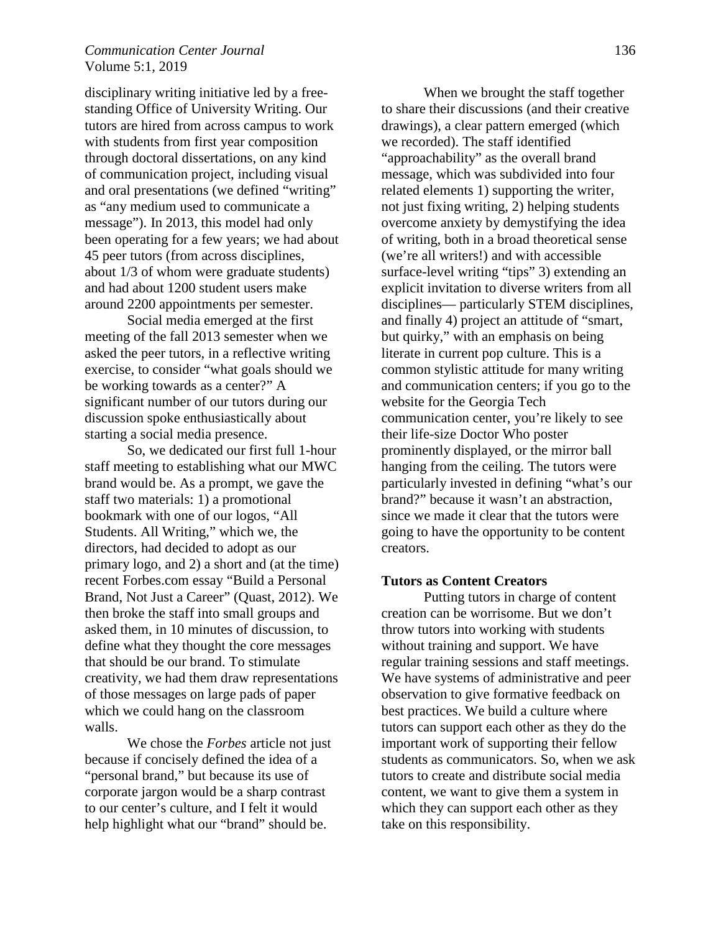### *Communication Center Journal* 136 Volume 5:1, 2019

disciplinary writing initiative led by a freestanding Office of University Writing. Our tutors are hired from across campus to work with students from first year composition through doctoral dissertations, on any kind of communication project, including visual and oral presentations (we defined "writing" as "any medium used to communicate a message"). In 2013, this model had only been operating for a few years; we had about 45 peer tutors (from across disciplines, about 1/3 of whom were graduate students) and had about 1200 student users make around 2200 appointments per semester.

Social media emerged at the first meeting of the fall 2013 semester when we asked the peer tutors, in a reflective writing exercise, to consider "what goals should we be working towards as a center?" A significant number of our tutors during our discussion spoke enthusiastically about starting a social media presence.

So, we dedicated our first full 1-hour staff meeting to establishing what our MWC brand would be. As a prompt, we gave the staff two materials: 1) a promotional bookmark with one of our logos, "All Students. All Writing," which we, the directors, had decided to adopt as our primary logo, and 2) a short and (at the time) recent Forbes.com essay "Build a Personal Brand, Not Just a Career" (Quast, 2012). We then broke the staff into small groups and asked them, in 10 minutes of discussion, to define what they thought the core messages that should be our brand. To stimulate creativity, we had them draw representations of those messages on large pads of paper which we could hang on the classroom walls.

We chose the *Forbes* article not just because if concisely defined the idea of a "personal brand," but because its use of corporate jargon would be a sharp contrast to our center's culture, and I felt it would help highlight what our "brand" should be.

When we brought the staff together to share their discussions (and their creative drawings), a clear pattern emerged (which we recorded). The staff identified "approachability" as the overall brand message, which was subdivided into four related elements 1) supporting the writer, not just fixing writing, 2) helping students overcome anxiety by demystifying the idea of writing, both in a broad theoretical sense (we're all writers!) and with accessible surface-level writing "tips" 3) extending an explicit invitation to diverse writers from all disciplines— particularly STEM disciplines, and finally 4) project an attitude of "smart, but quirky," with an emphasis on being literate in current pop culture. This is a common stylistic attitude for many writing and communication centers; if you go to the website for the Georgia Tech communication center, you're likely to see their life-size Doctor Who poster prominently displayed, or the mirror ball hanging from the ceiling. The tutors were particularly invested in defining "what's our brand?" because it wasn't an abstraction, since we made it clear that the tutors were going to have the opportunity to be content creators.

#### **Tutors as Content Creators**

Putting tutors in charge of content creation can be worrisome. But we don't throw tutors into working with students without training and support. We have regular training sessions and staff meetings. We have systems of administrative and peer observation to give formative feedback on best practices. We build a culture where tutors can support each other as they do the important work of supporting their fellow students as communicators. So, when we ask tutors to create and distribute social media content, we want to give them a system in which they can support each other as they take on this responsibility.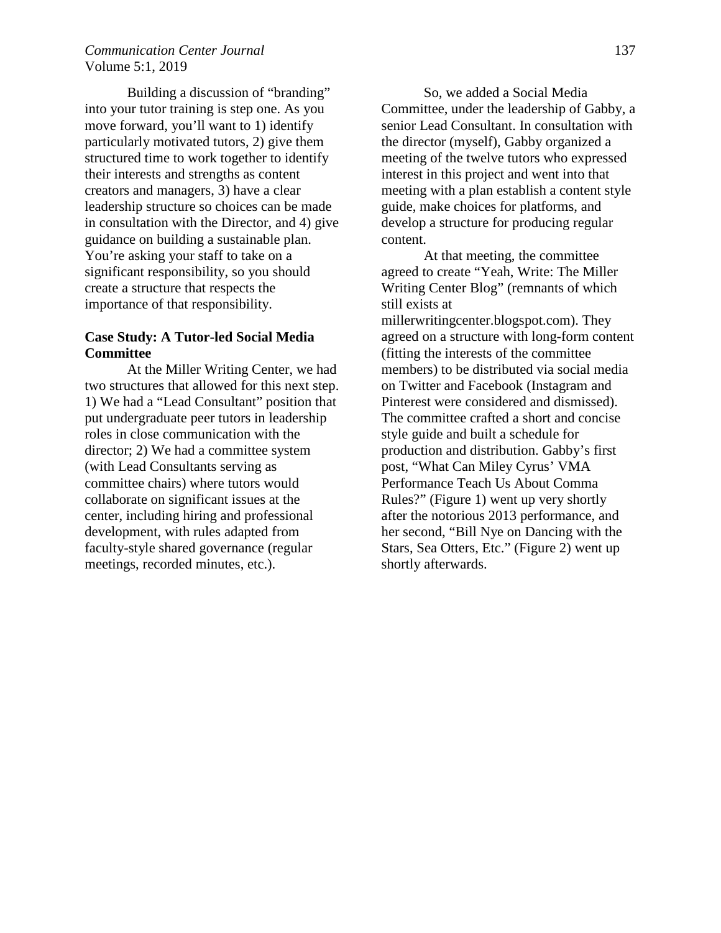# *Communication Center Journal* 137 Volume 5:1, 2019

Building a discussion of "branding" into your tutor training is step one. As you move forward, you'll want to 1) identify particularly motivated tutors, 2) give them structured time to work together to identify their interests and strengths as content creators and managers, 3) have a clear leadership structure so choices can be made in consultation with the Director, and 4) give guidance on building a sustainable plan. You're asking your staff to take on a significant responsibility, so you should create a structure that respects the importance of that responsibility.

# **Case Study: A Tutor-led Social Media Committee**

At the Miller Writing Center, we had two structures that allowed for this next step. 1) We had a "Lead Consultant" position that put undergraduate peer tutors in leadership roles in close communication with the director; 2) We had a committee system (with Lead Consultants serving as committee chairs) where tutors would collaborate on significant issues at the center, including hiring and professional development, with rules adapted from faculty-style shared governance (regular meetings, recorded minutes, etc.).

So, we added a Social Media Committee, under the leadership of Gabby, a senior Lead Consultant. In consultation with the director (myself), Gabby organized a meeting of the twelve tutors who expressed interest in this project and went into that meeting with a plan establish a content style guide, make choices for platforms, and develop a structure for producing regular content.

At that meeting, the committee agreed to create "Yeah, Write: The Miller Writing Center Blog" (remnants of which still exists at millerwritingcenter.blogspot.com). They agreed on a structure with long-form content (fitting the interests of the committee members) to be distributed via social media on Twitter and Facebook (Instagram and Pinterest were considered and dismissed). The committee crafted a short and concise style guide and built a schedule for production and distribution. Gabby's first post, "What Can Miley Cyrus' VMA Performance Teach Us About Comma Rules?" (Figure 1) went up very shortly after the notorious 2013 performance, and her second, "Bill Nye on Dancing with the Stars, Sea Otters, Etc." (Figure 2) went up shortly afterwards.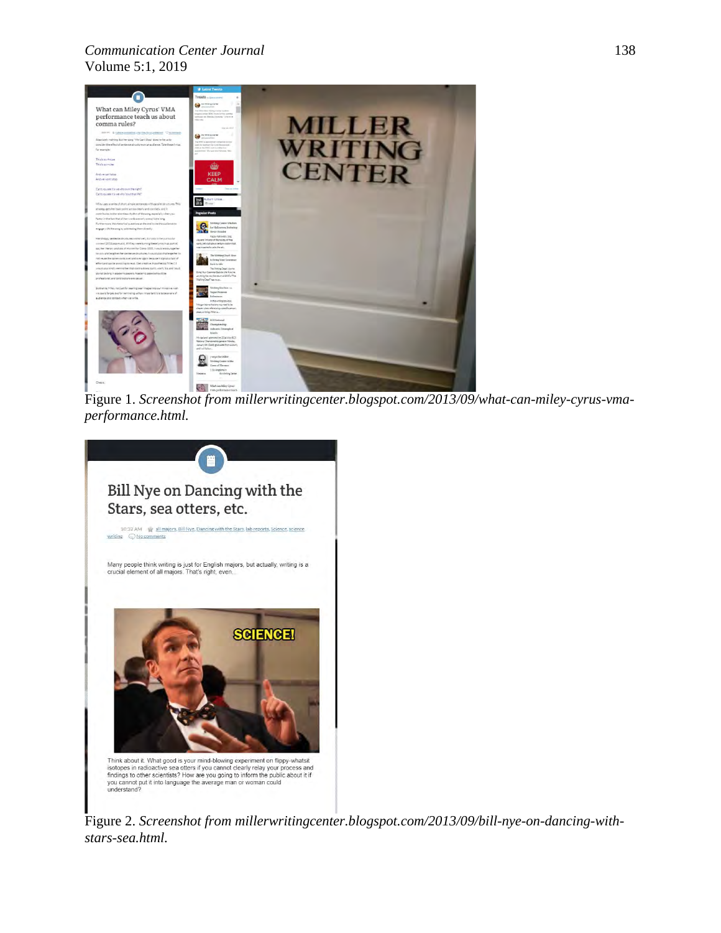# *Communication Center Journal* 138 Volume 5:1, 2019



Figure 1. *Screenshot from millerwritingcenter.blogspot.com/2013/09/what-can-miley-cyrus-vmaperformance.html.*



Figure 2. *Screenshot from millerwritingcenter.blogspot.com/2013/09/bill-nye-on-dancing-withstars-sea.html.*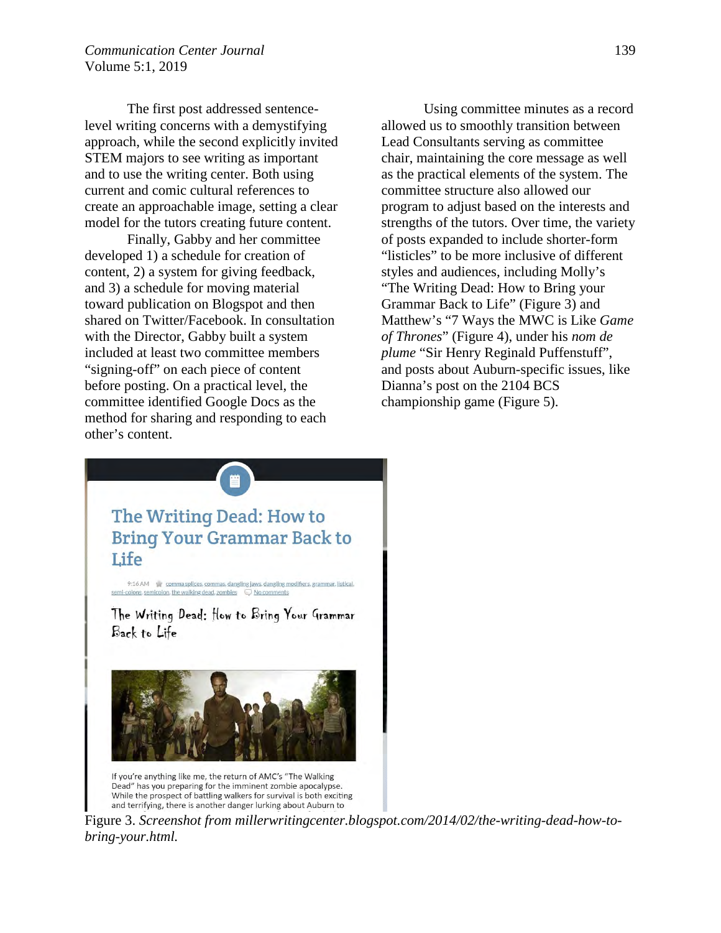The first post addressed sentencelevel writing concerns with a demystifying approach, while the second explicitly invited STEM majors to see writing as important and to use the writing center. Both using current and comic cultural references to create an approachable image, setting a clear model for the tutors creating future content.

Finally, Gabby and her committee developed 1) a schedule for creation of content, 2) a system for giving feedback, and 3) a schedule for moving material toward publication on Blogspot and then shared on Twitter/Facebook. In consultation with the Director, Gabby built a system included at least two committee members "signing-off" on each piece of content before posting. On a practical level, the committee identified Google Docs as the method for sharing and responding to each other's content.

Using committee minutes as a record allowed us to smoothly transition between Lead Consultants serving as committee chair, maintaining the core message as well as the practical elements of the system. The committee structure also allowed our program to adjust based on the interests and strengths of the tutors. Over time, the variety of posts expanded to include shorter-form "listicles" to be more inclusive of different styles and audiences, including Molly's "The Writing Dead: How to Bring your Grammar Back to Life" (Figure 3) and Matthew's "7 Ways the MWC is Like *Game of Thrones*" (Figure 4), under his *nom de plume* "Sir Henry Reginald Puffenstuff", and posts about Auburn-specific issues, like Dianna's post on the 2104 BCS championship game (Figure 5).



Figure 3. *Screenshot from millerwritingcenter.blogspot.com/2014/02/the-writing-dead-how-tobring-your.html.*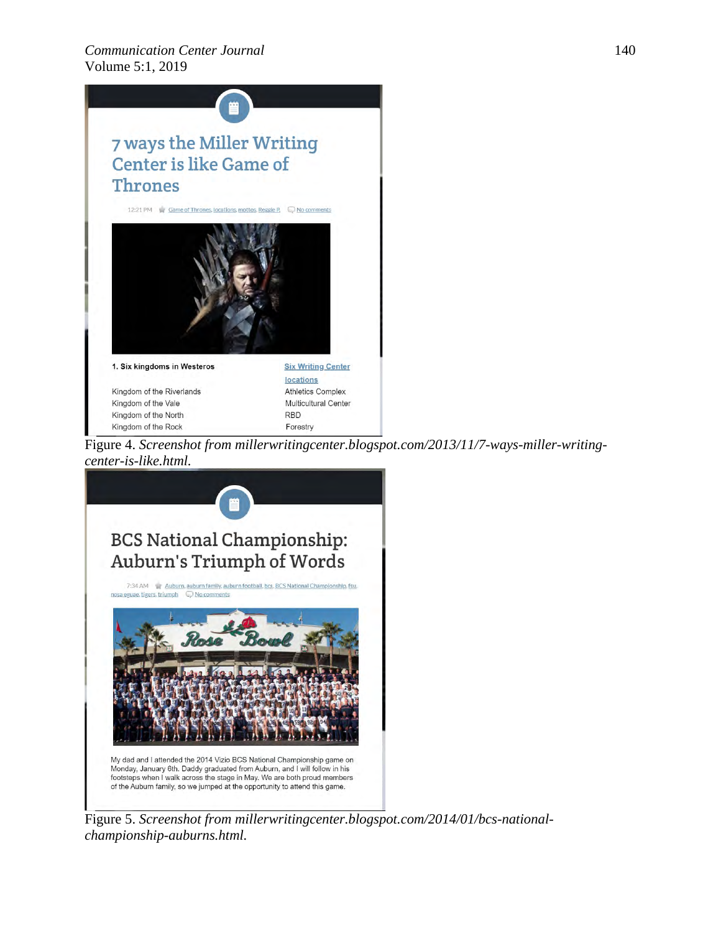

Figure 4. *Screenshot from millerwritingcenter.blogspot.com/2013/11/7-ways-miller-writingcenter-is-like.html.*



Figure 5. *Screenshot from millerwritingcenter.blogspot.com/2014/01/bcs-nationalchampionship-auburns.html.*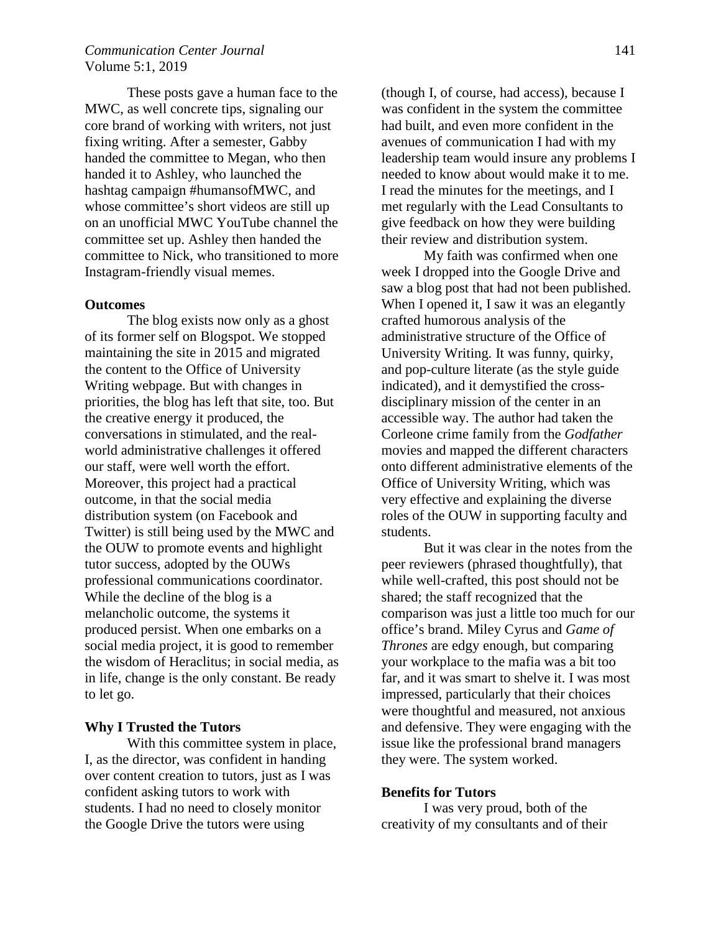# *Communication Center Journal* 141 Volume 5:1, 2019

These posts gave a human face to the MWC, as well concrete tips, signaling our core brand of working with writers, not just fixing writing. After a semester, Gabby handed the committee to Megan, who then handed it to Ashley, who launched the hashtag campaign #humansofMWC, and whose committee's short videos are still up on an unofficial MWC YouTube channel the committee set up. Ashley then handed the committee to Nick, who transitioned to more Instagram-friendly visual memes.

#### **Outcomes**

The blog exists now only as a ghost of its former self on Blogspot. We stopped maintaining the site in 2015 and migrated the content to the Office of University Writing webpage. But with changes in priorities, the blog has left that site, too. But the creative energy it produced, the conversations in stimulated, and the realworld administrative challenges it offered our staff, were well worth the effort. Moreover, this project had a practical outcome, in that the social media distribution system (on Facebook and Twitter) is still being used by the MWC and the OUW to promote events and highlight tutor success, adopted by the OUWs professional communications coordinator. While the decline of the blog is a melancholic outcome, the systems it produced persist. When one embarks on a social media project, it is good to remember the wisdom of Heraclitus; in social media, as in life, change is the only constant. Be ready to let go.

#### **Why I Trusted the Tutors**

With this committee system in place, I, as the director, was confident in handing over content creation to tutors, just as I was confident asking tutors to work with students. I had no need to closely monitor the Google Drive the tutors were using

(though I, of course, had access), because I was confident in the system the committee had built, and even more confident in the avenues of communication I had with my leadership team would insure any problems I needed to know about would make it to me. I read the minutes for the meetings, and I met regularly with the Lead Consultants to give feedback on how they were building their review and distribution system.

My faith was confirmed when one week I dropped into the Google Drive and saw a blog post that had not been published. When I opened it, I saw it was an elegantly crafted humorous analysis of the administrative structure of the Office of University Writing. It was funny, quirky, and pop-culture literate (as the style guide indicated), and it demystified the crossdisciplinary mission of the center in an accessible way. The author had taken the Corleone crime family from the *Godfather* movies and mapped the different characters onto different administrative elements of the Office of University Writing, which was very effective and explaining the diverse roles of the OUW in supporting faculty and students.

But it was clear in the notes from the peer reviewers (phrased thoughtfully), that while well-crafted, this post should not be shared; the staff recognized that the comparison was just a little too much for our office's brand. Miley Cyrus and *Game of Thrones* are edgy enough, but comparing your workplace to the mafia was a bit too far, and it was smart to shelve it. I was most impressed, particularly that their choices were thoughtful and measured, not anxious and defensive. They were engaging with the issue like the professional brand managers they were. The system worked.

#### **Benefits for Tutors**

I was very proud, both of the creativity of my consultants and of their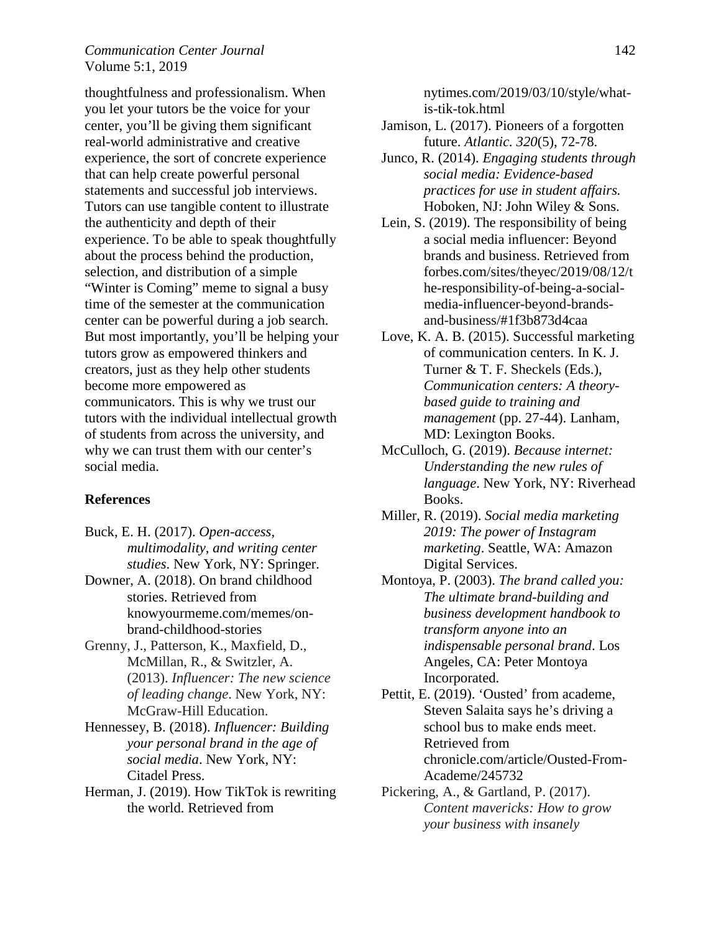# *Communication Center Journal* 142 Volume 5:1, 2019

thoughtfulness and professionalism. When you let your tutors be the voice for your center, you'll be giving them significant real-world administrative and creative experience, the sort of concrete experience that can help create powerful personal statements and successful job interviews. Tutors can use tangible content to illustrate the authenticity and depth of their experience. To be able to speak thoughtfully about the process behind the production, selection, and distribution of a simple "Winter is Coming" meme to signal a busy time of the semester at the communication center can be powerful during a job search. But most importantly, you'll be helping your tutors grow as empowered thinkers and creators, just as they help other students become more empowered as communicators. This is why we trust our tutors with the individual intellectual growth of students from across the university, and why we can trust them with our center's social media.

### **References**

Buck, E. H. (2017). *Open-access, multimodality, and writing center studies*. New York, NY: Springer.

Downer, A. (2018). On brand childhood stories. Retrieved from knowyourmeme.com/memes/onbrand-childhood-stories

- Grenny, J., Patterson, K., Maxfield, D., McMillan, R., & Switzler, A. (2013). *Influencer: The new science of leading change*. New York, NY: McGraw-Hill Education.
- Hennessey, B. (2018). *Influencer: Building your personal brand in the age of social media*. New York, NY: Citadel Press.
- Herman, J. (2019). How TikTok is rewriting the world. Retrieved from

nytimes.com/2019/03/10/style/whatis-tik-tok.html

- Jamison, L. (2017). Pioneers of a forgotten future. *Atlantic. 320*(5), 72-78.
- Junco, R. (2014). *Engaging students through social media: Evidence-based practices for use in student affairs.* Hoboken, NJ: John Wiley & Sons.
- Lein, S. (2019). The responsibility of being a social media influencer: Beyond brands and business. Retrieved from forbes.com/sites/theyec/2019/08/12/t he-responsibility-of-being-a-socialmedia-influencer-beyond-brandsand-business/#1f3b873d4caa
- Love, K. A. B. (2015). Successful marketing of communication centers. In K. J. Turner & T. F. Sheckels (Eds.), *Communication centers: A theorybased guide to training and management* (pp. 27-44). Lanham, MD: Lexington Books.
- McCulloch, G. (2019). *Because internet: Understanding the new rules of language*. New York, NY: Riverhead Books.
- Miller, R. (2019). *Social media marketing 2019: The power of Instagram marketing*. Seattle, WA: Amazon Digital Services.
- Montoya, P. (2003). *The brand called you: The ultimate brand-building and business development handbook to transform anyone into an indispensable personal brand*. Los Angeles, CA: Peter Montoya Incorporated.
- Pettit, E. (2019). 'Ousted' from academe, Steven Salaita says he's driving a school bus to make ends meet. Retrieved from chronicle.com/article/Ousted-From-Academe/245732
- Pickering, A., & Gartland, P. (2017). *Content mavericks: How to grow your business with insanely*